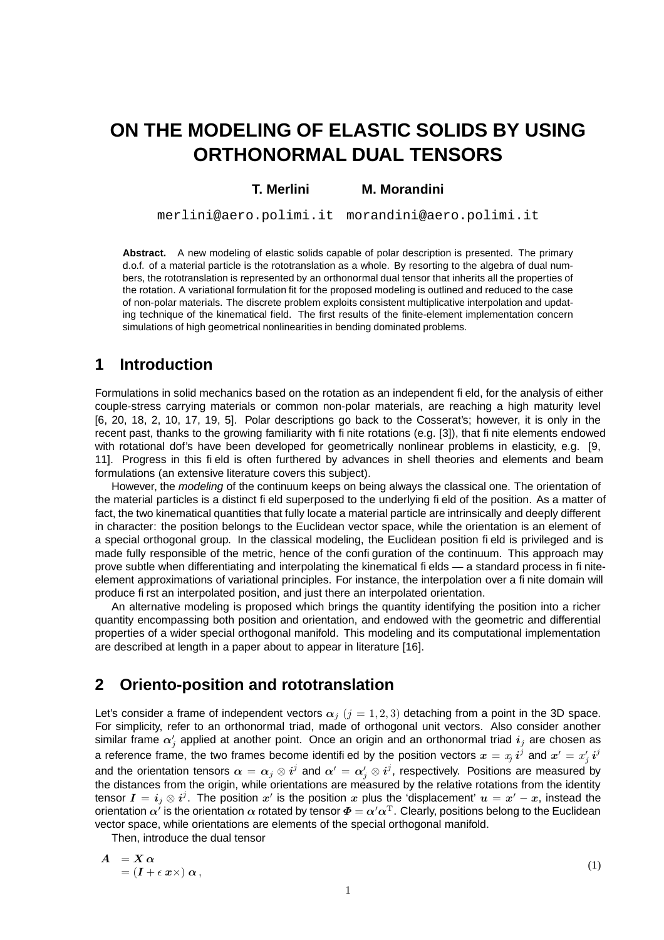# **ON THE MODELING OF ELASTIC SOLIDS BY USING ORTHONORMAL DUAL TENSORS**

#### **T. Merlini M. Morandini**

merlini@aero.polimi.it morandini@aero.polimi.it

**Abstract.** A new modeling of elastic solids capable of polar description is presented. The primary d.o.f. of a material particle is the rototranslation as a whole. By resorting to the algebra of dual numbers, the rototranslation is represented by an orthonormal dual tensor that inherits all the properties of the rotation. A variational formulation fit for the proposed modeling is outlined and reduced to the case of non-polar materials. The discrete problem exploits consistent multiplicative interpolation and updating technique of the kinematical field. The first results of the finite-element implementation concern simulations of high geometrical nonlinearities in bending dominated problems.

#### **1 Introduction**

Formulations in solid mechanics based on the rotation as an independent field, for the analysis of either couple-stress carrying materials or common non-polar materials, are reaching a high maturity level [6, 20, 18, 2, 10, 17, 19, 5]. Polar descriptions go back to the Cosserat's; however, it is only in the recent past, thanks to the growing familiarity with finite rotations (e.g. [3]), that finite elements endowed with rotational dof's have been developed for geometrically nonlinear problems in elasticity, e.g. [9, 11]. Progress in this field is often furthered by advances in shell theories and elements and beam formulations (an extensive literature covers this subject).

However, the modeling of the continuum keeps on being always the classical one. The orientation of the material particles is a distinct field superposed to the underlying field of the position. As a matter of fact, the two kinematical quantities that fully locate a material particle are intrinsically and deeply different in character: the position belongs to the Euclidean vector space, while the orientation is an element of a special orthogonal group. In the classical modeling, the Euclidean position field is privileged and is made fully responsible of the metric, hence of the configuration of the continuum. This approach may prove subtle when differentiating and interpolating the kinematical fields — a standard process in finiteelement approximations of variational principles. For instance, the interpolation over a finite domain will produce first an interpolated position, and just there an interpolated orientation.

An alternative modeling is proposed which brings the quantity identifying the position into a richer quantity encompassing both position and orientation, and endowed with the geometric and differential properties of a wider special orthogonal manifold. This modeling and its computational implementation are described at length in a paper about to appear in literature [16].

### **2 Oriento-position and rototranslation**

Let's consider a frame of independent vectors  $\alpha_j$  ( $j = 1, 2, 3$ ) detaching from a point in the 3D space. For simplicity, refer to an orthonormal triad, made of orthogonal unit vectors. Also consider another similar frame  $\alpha'_j$  applied at another point. Once an origin and an orthonormal triad  $i_j$  are chosen as a reference frame, the two frames become identifi ed by the position vectors  $\bm{x} = x_j \, \bm{i}^j$  and  $\bm{x}' = x'_j \, \bm{i}^j$ and the orientation tensors  $\alpha=\alpha_j\otimes i^j$  and  $\alpha'=\alpha'_j\otimes i^j$ , respectively. Positions are measured by the distances from the origin, while orientations are measured by the relative rotations from the identity tensor  $I=i_j\otimes i^j.$  The position  $x'$  is the position  $x$  plus the 'displacement'  $u=x'-x$ , instead the orientation  $\alpha^i$  is the orientation  $\alpha$  rotated by tensor  $\bm{\Phi}=\alpha'\alpha^{\rm T}.$  Clearly, positions belong to the Euclidean vector space, while orientations are elements of the special orthogonal manifold.

Then, introduce the dual tensor

$$
A = X \alpha
$$
  
=  $(I + \epsilon x \times) \alpha$ , (1)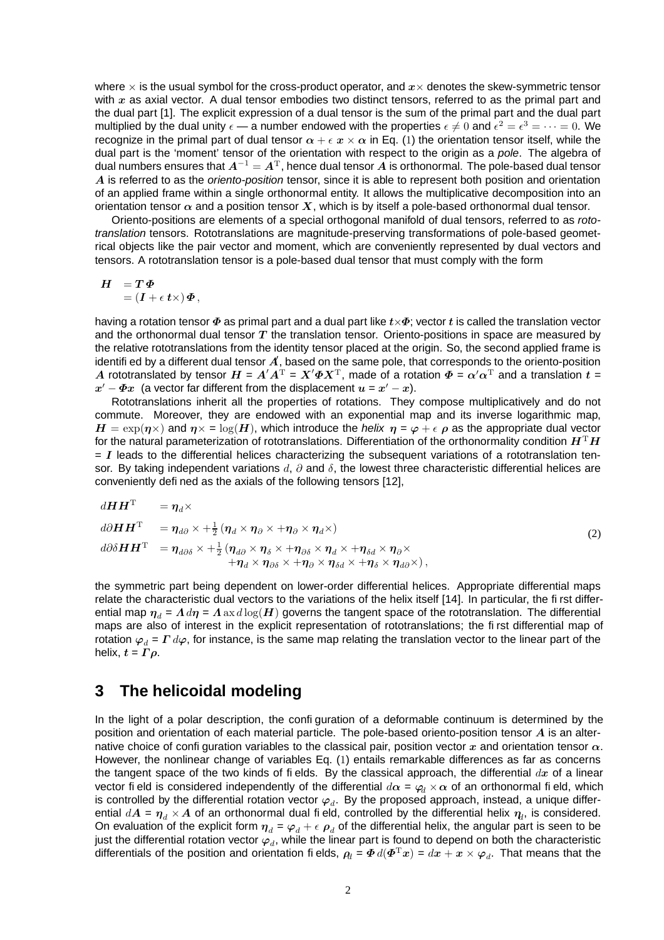where  $\times$  is the usual symbol for the cross-product operator, and  $x\times$  denotes the skew-symmetric tensor with  $x$  as axial vector. A dual tensor embodies two distinct tensors, referred to as the primal part and the dual part [1]. The explicit expression of a dual tensor is the sum of the primal part and the dual part multiplied by the dual unity  $\epsilon$  — a number endowed with the properties  $\epsilon \neq 0$  and  $\epsilon^2 = \epsilon^3 = \cdots = 0$ . We recognize in the primal part of dual tensor  $\alpha + \epsilon x \times \alpha$  in Eq. (1) the orientation tensor itself, while the dual part is the 'moment' tensor of the orientation with respect to the origin as a pole. The algebra of dual numbers ensures that  $A^{-1} = A^{T}$ , hence dual tensor  $A$  is orthonormal. The pole-based dual tensor  $A$  is referred to as the oriento-position tensor, since it is able to represent both position and orientation of an applied frame within a single orthonormal entity. It allows the multiplicative decomposition into an orientation tensor  $\alpha$  and a position tensor X, which is by itself a pole-based orthonormal dual tensor.

Oriento-positions are elements of a special orthogonal manifold of dual tensors, referred to as rototranslation tensors. Rototranslations are magnitude-preserving transformations of pole-based geometrical objects like the pair vector and moment, which are conveniently represented by dual vectors and tensors. A rototranslation tensor is a pole-based dual tensor that must comply with the form

$$
H = T\Phi
$$
  
=  $(I + \epsilon t \times) \Phi$ ,

having a rotation tensor  $\Phi$  as primal part and a dual part like  $t\times\Phi$ ; vector t is called the translation vector and the orthonormal dual tensor  $T$  the translation tensor. Oriento-positions in space are measured by the relative rototranslations from the identity tensor placed at the origin. So, the second applied frame is identifi ed by a different dual tensor  $\vec{A}$ , based on the same pole, that corresponds to the oriento-position A rototranslated by tensor  $H = A'A^T = X'\Phi X^T$ , made of a rotation  $\Phi = \alpha'\alpha^T$  and a translation  $t =$  $x' - \Phi x$  (a vector far different from the displacement  $u = x' - x$ ).

Rototranslations inherit all the properties of rotations. They compose multiplicatively and do not commute. Moreover, they are endowed with an exponential map and its inverse logarithmic map,  $H = \exp(\eta \times)$  and  $\eta \times = \log(H)$ , which introduce the helix  $\eta = \varphi + \epsilon \rho$  as the appropriate dual vector for the natural parameterization of rototranslations. Differentiation of the orthonormality condition  $H<sup>T</sup>H$  $= I$  leads to the differential helices characterizing the subsequent variations of a rototranslation tensor. By taking independent variations d,  $\partial$  and  $\delta$ , the lowest three characteristic differential helices are conveniently defined as the axials of the following tensors [12],

$$
dH HT = \eta_d \times \nd\partial H HT = \eta_{d\partial} \times + \frac{1}{2} (\eta_d \times \eta_{\partial} \times + \eta_{\partial} \times \eta_d \times) \nd\partial \delta H HT = \eta_{d\partial \delta} \times + \frac{1}{2} (\eta_{d\partial} \times \eta_{\delta} \times + \eta_{\partial \delta} \times \eta_d \times + \eta_{\delta d} \times \eta_{\delta \delta} \times \eta_d \times) ,
$$
\n
$$
(2)
$$
\n
$$
+ \eta_d \times \eta_{\partial \delta} \times + \eta_{\partial} \times \eta_{\delta d} \times + \eta_{\delta} \times \eta_{d\partial} \times),
$$

the symmetric part being dependent on lower-order differential helices. Appropriate differential maps relate the characteristic dual vectors to the variations of the helix itself [14]. In particular, the first differential map  $\eta_d = A d\eta = A$  ax  $d\log(H)$  governs the tangent space of the rototranslation. The differential maps are also of interest in the explicit representation of rototranslations; the first differential map of rotation  $\varphi_d = \Gamma d\varphi$ , for instance, is the same map relating the translation vector to the linear part of the helix,  $t = \Gamma \rho$ .

#### **3 The helicoidal modeling**

In the light of a polar description, the configuration of a deformable continuum is determined by the position and orientation of each material particle. The pole-based oriento-position tensor  $A$  is an alternative choice of configuration variables to the classical pair, position vector x and orientation tensor  $\alpha$ . However, the nonlinear change of variables Eq. (1) entails remarkable differences as far as concerns the tangent space of the two kinds of fields. By the classical approach, the differential  $dx$  of a linear vector field is considered independently of the differential  $d\alpha = \varphi_d \times \alpha$  of an orthonormal field, which is controlled by the differential rotation vector  $\varphi_d.$  By the proposed approach, instead, a unique differential  $d\bm A$  =  $\bm\eta_d\times\bm A$  of an orthonormal dual field, controlled by the differential helix  $\bm\eta_l$ , is considered. On evaluation of the explicit form  $\eta_d = \varphi_d + \epsilon \rho_d$  of the differential helix, the angular part is seen to be just the differential rotation vector  $\varphi_d$ , while the linear part is found to depend on both the characteristic differentials of the position and orientation fields,  $\rho_d = \bm{\varPhi}\, d(\bm{\varPhi}^\text{T}\bm{x}) = dx + \bm{x}\times\bm{\varphi}_d.$  That means that the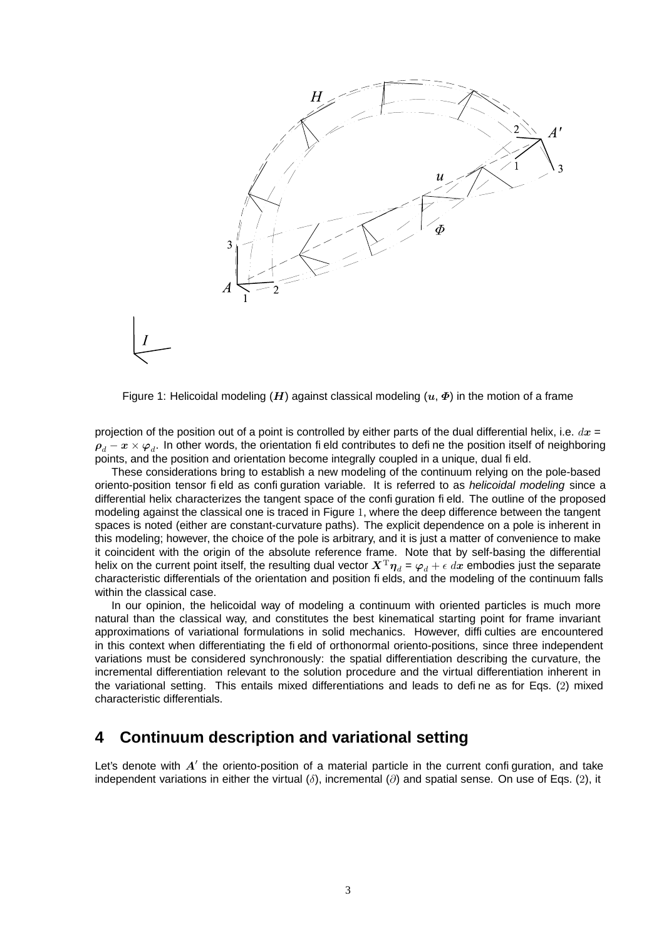

Figure 1: Helicoidal modeling (H) against classical modeling  $(u, \Phi)$  in the motion of a frame

projection of the position out of a point is controlled by either parts of the dual differential helix, i.e.  $dx =$  $\rho_d-x\times \varphi_d.$  In other words, the orientation fi eld contributes to defi ne the position itself of neighboring points, and the position and orientation become integrally coupled in a unique, dual field.

These considerations bring to establish a new modeling of the continuum relying on the pole-based oriento-position tensor field as configuration variable. It is referred to as helicoidal modeling since a differential helix characterizes the tangent space of the configuration field. The outline of the proposed modeling against the classical one is traced in Figure 1, where the deep difference between the tangent spaces is noted (either are constant-curvature paths). The explicit dependence on a pole is inherent in this modeling; however, the choice of the pole is arbitrary, and it is just a matter of convenience to make it coincident with the origin of the absolute reference frame. Note that by self-basing the differential helix on the current point itself, the resulting dual vector  $X^{T}\eta_{d} = \varphi_{d} + \epsilon dx$  embodies just the separate characteristic differentials of the orientation and position fields, and the modeling of the continuum falls within the classical case.

In our opinion, the helicoidal way of modeling a continuum with oriented particles is much more natural than the classical way, and constitutes the best kinematical starting point for frame invariant approximations of variational formulations in solid mechanics. However, difficulties are encountered in this context when differentiating the field of orthonormal oriento-positions, since three independent variations must be considered synchronously: the spatial differentiation describing the curvature, the incremental differentiation relevant to the solution procedure and the virtual differentiation inherent in the variational setting. This entails mixed differentiations and leads to define as for Eqs. (2) mixed characteristic differentials.

#### **4 Continuum description and variational setting**

Let's denote with  $A'$  the oriento-position of a material particle in the current configuration, and take independent variations in either the virtual ( $\delta$ ), incremental ( $\partial$ ) and spatial sense. On use of Eqs. (2), it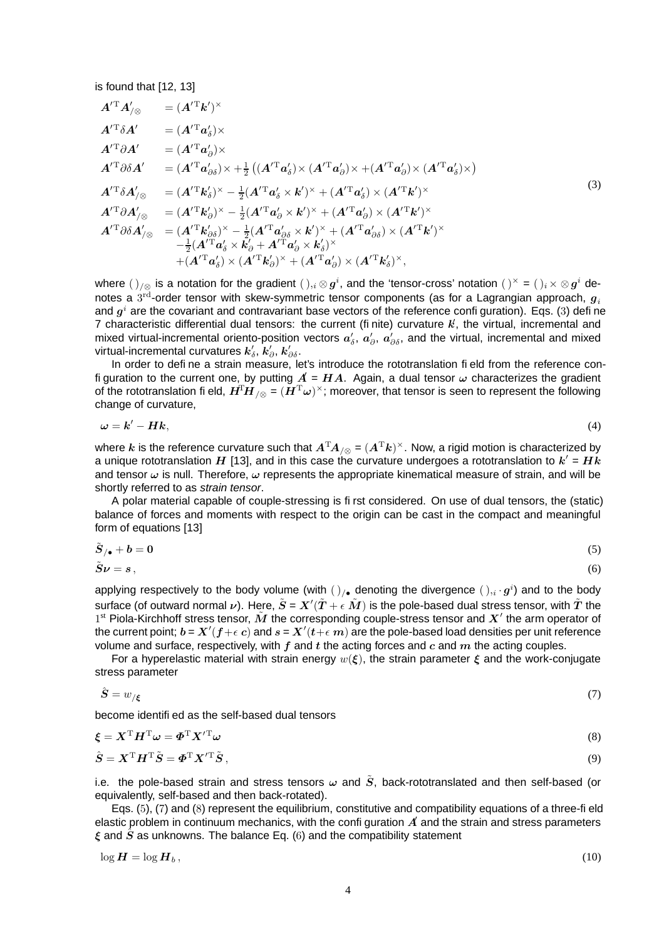is found that [12, 13]

$$
A^{\prime T} A^{\prime}_{/\otimes} = (A^{\prime T} k^{\prime})^{\times}
$$
  
\n
$$
A^{\prime T} \delta A^{\prime} = (A^{\prime T} a_{\delta}^{\prime}) \times
$$
  
\n
$$
A^{\prime T} \delta A^{\prime} = (A^{\prime T} a_{\delta}^{\prime}) \times
$$
  
\n
$$
A^{\prime T} \delta A^{\prime} = (A^{\prime T} a_{\delta \delta}^{\prime}) \times + \frac{1}{2} ((A^{\prime T} a_{\delta}^{\prime}) \times (A^{\prime T} a_{\delta}^{\prime}) \times (A^{\prime T} a_{\delta}^{\prime}) \times (A^{\prime T} a_{\delta}^{\prime}) \times)
$$
  
\n
$$
A^{\prime T} \delta A^{\prime}_{/\otimes} = (A^{\prime T} k_{\delta}^{\prime})^{\times} - \frac{1}{2} (A^{\prime T} a_{\delta}^{\prime} \times k^{\prime})^{\times} + (A^{\prime T} a_{\delta}^{\prime}) \times (A^{\prime T} k^{\prime})^{\times}
$$
  
\n
$$
A^{\prime T} \partial A^{\prime}_{/\otimes} = (A^{\prime T} k_{\delta}^{\prime})^{\times} - \frac{1}{2} (A^{\prime T} a_{\delta}^{\prime} \times k^{\prime})^{\times} + (A^{\prime T} a_{\delta}^{\prime}) \times (A^{\prime T} k^{\prime})^{\times}
$$
  
\n
$$
A^{\prime T} \partial \delta A^{\prime}_{/\otimes} = (A^{\prime T} k_{\delta \delta}^{\prime})^{\times} - \frac{1}{2} (A^{\prime T} a_{\delta \delta}^{\prime} \times k^{\prime})^{\times} + (A^{\prime T} a_{\delta \delta}^{\prime}) \times (A^{\prime T} k^{\prime})^{\times}
$$
  
\n
$$
- \frac{1}{2} (A^{\prime T} a_{\delta}^{\prime} \times k_{\delta}^{\prime} + A^{\prime T} a_{\delta}^{\prime} \times k_{\delta}^{\prime})^{\times}
$$
  
\n
$$
+ (A^{\prime T} a_{\delta}^{\prime}) \times (A^{\prime T} k_{\delta})^{\times} + (A^{\prime T} a_{\delta}^{\prime}) \times (A^{\prime T
$$

where  $(\,)_{/\otimes}$  is a notation for the gradient  $(\,)_{,i}\otimes g^i,$  and the 'tensor-cross' notation  $(\,)^{\times}$  =  $(\,)_i\times\otimes g^i$  denotes a  $3^{\text{rd}}$ -order tensor with skew-symmetric tensor components (as for a Lagrangian approach,  $\boldsymbol{g}_i$ and  $g^i$  are the covariant and contravariant base vectors of the reference confi guration). Eqs. (3) defi ne 7 characteristic differential dual tensors: the current (finite) curvature  $k'$ , the virtual, incremental and mixed virtual-incremental oriento-position vectors  $a'_\delta$ ,  $a'_\partial$ ,  $a'_{\partial\delta}$ , and the virtual, incremental and mixed virtual-incremental curvatures  $\bm{k}'_{\delta}, \, \bm{k}'_{\partial}, \, \bm{k}'_{\partial\delta}.$ 

In order to define a strain measure, let's introduce the rototranslation field from the reference confi guration to the current one, by putting  $\vec{A} = H\vec{A}$ . Again, a dual tensor  $\omega$  characterizes the gradient of the rototranslation fi eld,  $H^T\!H_{/\otimes}$  =  $(H^{\rm T}\omega)^\times$ ; moreover, that tensor is seen to represent the following change of curvature,

$$
\omega = k' - Hk, \tag{4}
$$

where  $k$  is the reference curvature such that  $A^{\rm T}\!A_{/\otimes}$  =  $(A^{\rm T}k)^\times.$  Now, a rigid motion is characterized by a unique rototranslation  $H$  [13], and in this case the curvature undergoes a rototranslation to  $k'$  =  $Hk$ and tensor  $\omega$  is null. Therefore,  $\omega$  represents the appropriate kinematical measure of strain, and will be shortly referred to as strain tensor.

A polar material capable of couple-stressing is first considered. On use of dual tensors, the (static) balance of forces and moments with respect to the origin can be cast in the compact and meaningful form of equations [13]

$$
\tilde{S}_{/\bullet} + b = 0 \tag{5}
$$

$$
\tilde{S}\nu = s \,, \tag{6}
$$

applying respectively to the body volume (with  $()_{/ \bullet}$  denoting the divergence  $( \ )_{,i} \cdot g^{i} )$  and to the body surface (of outward normal  $\nu$ ). Here,  $\tilde{S}$  =  $X'(\tilde{T}+\epsilon|\tilde{M})$  is the pole-based dual stress tensor, with  $\tilde{T}$  the 1st Piola-Kirchhoff stress tensor,  $\tilde{M}$  the corresponding couple-stress tensor and  $X'$  the arm operator of the current point;  $b$  =  $X'(f + \epsilon|c)$  and  $s$  =  $X'(t+\epsilon|m)$  are the pole-based load densities per unit reference volume and surface, respectively, with  $f$  and  $t$  the acting forces and  $c$  and  $m$  the acting couples.

For a hyperelastic material with strain energy  $w(\xi)$ , the strain parameter  $\xi$  and the work-conjugate stress parameter

$$
\hat{S} = w_{/\xi} \tag{7}
$$

become identified as the self-based dual tensors

$$
\boldsymbol{\xi} = \boldsymbol{X}^{\mathrm{T}} \boldsymbol{H}^{\mathrm{T}} \boldsymbol{\omega} = \boldsymbol{\Phi}^{\mathrm{T}} \boldsymbol{X}'^{\mathrm{T}} \boldsymbol{\omega}
$$
\n(8)

$$
\hat{S} = X^{\mathrm{T}} H^{\mathrm{T}} \tilde{S} = \boldsymbol{\Phi}^{\mathrm{T}} X^{\prime \mathrm{T}} \tilde{S}, \tag{9}
$$

i.e. the pole-based strain and stress tensors  $\omega$  and  $\tilde{S}$ , back-rototranslated and then self-based (or equivalently, self-based and then back-rotated).

Eqs. (5), (7) and (8) represent the equilibrium, constitutive and compatibility equations of a three-field elastic problem in continuum mechanics, with the confi guration  $A$  and the strain and stress parameters  $\xi$  and  $\hat{S}$  as unknowns. The balance Eq. (6) and the compatibility statement

$$
\log H = \log H_b, \tag{10}
$$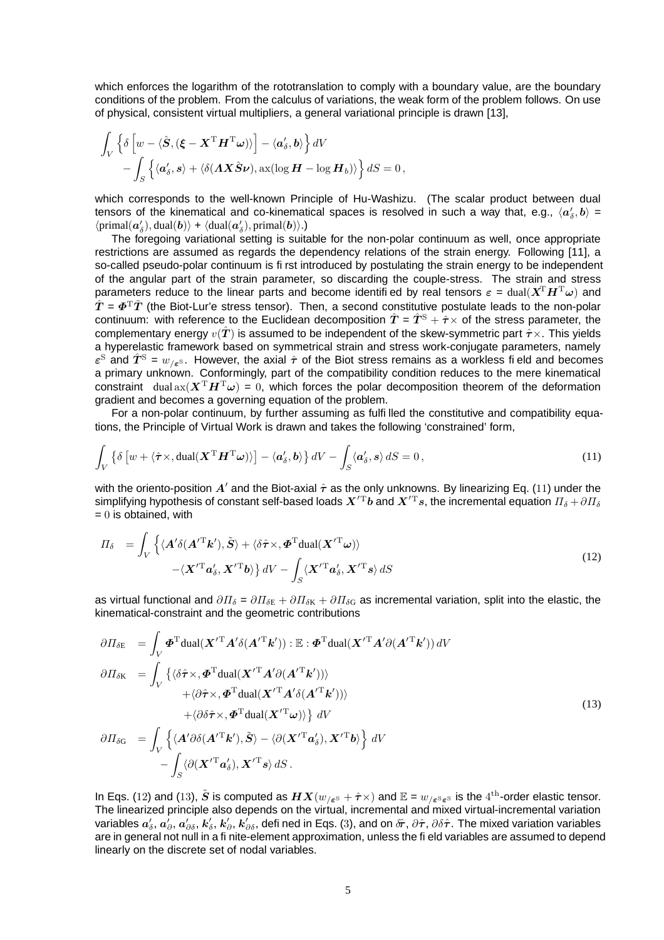which enforces the logarithm of the rototranslation to comply with a boundary value, are the boundary conditions of the problem. From the calculus of variations, the weak form of the problem follows. On use of physical, consistent virtual multipliers, a general variational principle is drawn [13],

$$
\int_{V} \left\{ \delta \left[ w - \langle \hat{\boldsymbol{S}}, (\boldsymbol{\xi} - \boldsymbol{X}^{\mathrm{T}} \boldsymbol{H}^{\mathrm{T}} \boldsymbol{\omega}) \rangle \right] - \langle \boldsymbol{a}_{\delta}^{\prime}, \boldsymbol{b} \rangle \right\} dV \n- \int_{S} \left\{ \langle \boldsymbol{a}_{\delta}^{\prime}, \boldsymbol{s} \rangle + \langle \delta (\boldsymbol{A} \boldsymbol{X} \hat{\boldsymbol{S}} \boldsymbol{\nu}), \operatorname{ax} (\log \boldsymbol{H} - \log \boldsymbol{H}_{b}) \rangle \right\} dS = 0,
$$

which corresponds to the well-known Principle of Hu-Washizu. (The scalar product between dual tensors of the kinematical and co-kinematical spaces is resolved in such a way that, e.g.,  $\langle a_\delta',b\rangle$  =  $\langle \text{primal}(\boldsymbol{a}'_{\delta}), \text{dual}(\boldsymbol{b}) \rangle + \langle \text{dual}(\boldsymbol{a}'_{\delta}), \text{primal}(\boldsymbol{b}) \rangle.$ 

The foregoing variational setting is suitable for the non-polar continuum as well, once appropriate restrictions are assumed as regards the dependency relations of the strain energy. Following [11], a so-called pseudo-polar continuum is first introduced by postulating the strain energy to be independent of the angular part of the strain parameter, so discarding the couple-stress. The strain and stress parameters reduce to the linear parts and become identified by real tensors  $\varepsilon = \text{dual}(X^T H^T \omega)$  and  $\hat{T} = \mathbf{\Phi}^{\mathrm{T}} \hat{T}$  (the Biot-Lur'e stress tensor). Then, a second constitutive postulate leads to the non-polar continuum: with reference to the Euclidean decomposition  $\hat{T} = \hat{T}^{\rm S} + \hat{\tau} \times$  of the stress parameter, the complementary energy  $v(\hat{T})$  is assumed to be independent of the skew-symmetric part  $\hat{\tau} \times$ . This yields a hyperelastic framework based on symmetrical strain and stress work-conjugate parameters, namely  $\varepsilon^{\rm S}$  and  $\hat{T}^{\rm S} = w_{/\varepsilon^{\rm S}}$ . However, the axial  $\hat{\tau}$  of the Biot stress remains as a workless field and becomes a primary unknown. Conformingly, part of the compatibility condition reduces to the mere kinematical constraint dual  $ax(X^TH^T\omega) = 0$ , which forces the polar decomposition theorem of the deformation gradient and becomes a governing equation of the problem.

For a non-polar continuum, by further assuming as fulfilled the constitutive and compatibility equations, the Principle of Virtual Work is drawn and takes the following 'constrained' form,

$$
\int_{V} \left\{ \delta \left[ w + \langle \hat{\boldsymbol{\tau}} \times, \text{dual}(\boldsymbol{X}^{\mathrm{T}} \boldsymbol{H}^{\mathrm{T}} \boldsymbol{\omega}) \rangle \right] - \langle \boldsymbol{a}_{\delta}^{\prime}, \boldsymbol{b} \rangle \right\} dV - \int_{S} \langle \boldsymbol{a}_{\delta}^{\prime}, \boldsymbol{s} \rangle dS = 0,
$$
\n(11)

with the oriento-position  $A'$  and the Biot-axial  $\hat{\tau}$  as the only unknowns. By linearizing Eq. (11) under the simplifying hypothesis of constant self-based loads  $X'^{T}b$  and  $X'^{T}s$ , the incremental equation  $\Pi_{\delta} + \partial \Pi_{\delta}$  $= 0$  is obtained, with

$$
\Pi_{\delta} = \int_{V} \left\{ \langle \mathbf{A}' \delta(\mathbf{A}'^{\mathrm{T}} \mathbf{k}'), \tilde{\mathbf{S}} \rangle + \langle \delta \hat{\boldsymbol{\tau}} \times, \boldsymbol{\Phi}^{\mathrm{T}} \text{dual}(\mathbf{X}'^{\mathrm{T}} \boldsymbol{\omega}) \rangle \right.\left. - \langle \mathbf{X}'^{\mathrm{T}} \boldsymbol{a}'_{\delta}, \mathbf{X}'^{\mathrm{T}} \boldsymbol{b} \rangle \right\} dV - \int_{S} \langle \mathbf{X}'^{\mathrm{T}} \boldsymbol{a}'_{\delta}, \mathbf{X}'^{\mathrm{T}} \boldsymbol{s} \rangle dS
$$
\n(12)

as virtual functional and  $\partial\Pi_{\delta} = \partial\Pi_{\delta E} + \partial\Pi_{\delta K} + \partial\Pi_{\delta G}$  as incremental variation, split into the elastic, the kinematical-constraint and the geometric contributions

$$
\partial \Pi_{\delta E} = \int_{V} \boldsymbol{\Phi}^{T} du \, d(\boldsymbol{X}'^{T} \boldsymbol{A}' \delta(\boldsymbol{A}'^{T} \boldsymbol{k}')) : \mathbb{E} : \boldsymbol{\Phi}^{T} du \, d(\boldsymbol{X}'^{T} \boldsymbol{A}' \partial(\boldsymbol{A}'^{T} \boldsymbol{k}')) dV
$$
\n
$$
\partial \Pi_{\delta K} = \int_{V} \{ \langle \delta \hat{\boldsymbol{\tau}} \times, \boldsymbol{\Phi}^{T} du \, d(\boldsymbol{X}'^{T} \boldsymbol{A}' \partial(\boldsymbol{A}'^{T} \boldsymbol{k}')) \rangle + \langle \partial \hat{\boldsymbol{\tau}} \times, \boldsymbol{\Phi}^{T} du \, d(\boldsymbol{X}'^{T} \boldsymbol{A}' \delta(\boldsymbol{A}'^{T} \boldsymbol{k}')) \rangle + \langle \partial \delta \hat{\boldsymbol{\tau}} \times, \boldsymbol{\Phi}^{T} du \, d(\boldsymbol{X}'^{T} \boldsymbol{\omega}) \rangle \} dV
$$
\n
$$
\partial \Pi_{\delta G} = \int_{V} \left\{ \langle \boldsymbol{A}' \partial \delta(\boldsymbol{A}'^{T} \boldsymbol{k}'), \tilde{\boldsymbol{S}} \rangle - \langle \partial(\boldsymbol{X}'^{T} \boldsymbol{a}'_{\delta}), \boldsymbol{X}'^{T} \boldsymbol{b} \rangle \right\} dV - \int_{S} \langle \partial(\boldsymbol{X}'^{T} \boldsymbol{a}'_{\delta}), \boldsymbol{X}'^{T} \boldsymbol{s} \rangle dS.
$$
\n(13)

In Eqs. (12) and (13),  $\tilde{\bm{S}}$  is computed as  $\bm{H} \bm{X}(w_{/\bm{\varepsilon}^{\mathrm{S}}}+\hat{\bm{\tau}}\times)$  and  $\mathbb{E}=w_{/\bm{\varepsilon}^{\mathrm{S}}\bm{\varepsilon}^{\mathrm{S}}}$  is the  $4^\text{th}$ -order elastic tensor. The linearized principle also depends on the virtual, incremental and mixed virtual-incremental variation variables  $a'_\delta, a'_\partial, a'_{\partial\delta}, k'_\delta, k'_\partial, k'_{\partial\delta}$ , defi ned in Eqs. (3), and on  $\hat\sigma$ ,  $\partial\hat\tau$ ,  $\partial\delta\hat\tau$ . The mixed variation variables are in general not null in a finite-element approximation, unless the field variables are assumed to depend linearly on the discrete set of nodal variables.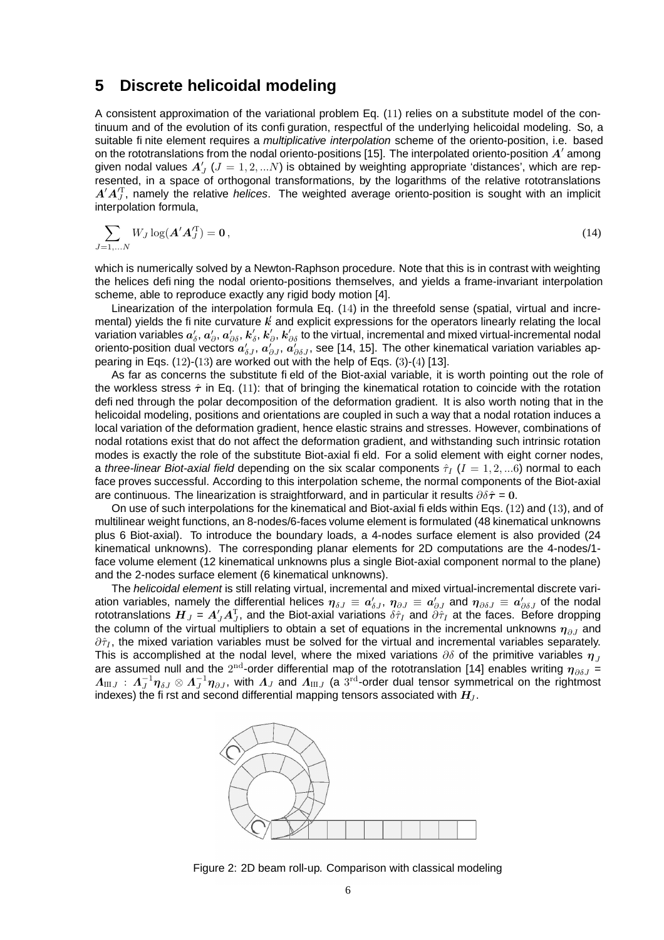#### **5 Discrete helicoidal modeling**

A consistent approximation of the variational problem Eq. (11) relies on a substitute model of the continuum and of the evolution of its configuration, respectful of the underlying helicoidal modeling. So, a suitable finite element requires a *multiplicative interpolation* scheme of the oriento-position, i.e. based on the rototranslations from the nodal oriento-positions [15]. The interpolated oriento-position  $A'$  among given nodal values  $A'_{J}$  ( $J = 1, 2, ... N$ ) is obtained by weighting appropriate 'distances', which are represented, in a space of orthogonal transformations, by the logarithms of the relative rototranslations  $A'A_J^T$ , namely the relative helices. The weighted average oriento-position is sought with an implicit interpolation formula,

$$
\sum_{J=1,...N} W_J \log(\mathbf{A}' \mathbf{A}_J^T) = \mathbf{0},\tag{14}
$$

which is numerically solved by a Newton-Raphson procedure. Note that this is in contrast with weighting the helices defining the nodal oriento-positions themselves, and yields a frame-invariant interpolation scheme, able to reproduce exactly any rigid body motion [4].

Linearization of the interpolation formula Eq. (14) in the threefold sense (spatial, virtual and incremental) yields the finite curvature  $k$  and explicit expressions for the operators linearly relating the local variation variables  $a_\delta',a_\partial',a_{\partial\delta}',k_\delta',k_{\partial},'$  to the virtual, incremental and mixed virtual-incremental nodal oriento-position dual vectors  $a'_{\delta J},$   $a'_{\partial \delta J},$  see [14, 15]. The other kinematical variation variables appearing in Eqs. (12)-(13) are worked out with the help of Eqs. (3)-(4) [13].

As far as concerns the substitute field of the Biot-axial variable, it is worth pointing out the role of the workless stress  $\hat{\tau}$  in Eq. (11): that of bringing the kinematical rotation to coincide with the rotation defined through the polar decomposition of the deformation gradient. It is also worth noting that in the helicoidal modeling, positions and orientations are coupled in such a way that a nodal rotation induces a local variation of the deformation gradient, hence elastic strains and stresses. However, combinations of nodal rotations exist that do not affect the deformation gradient, and withstanding such intrinsic rotation modes is exactly the role of the substitute Biot-axial field. For a solid element with eight corner nodes, a three-linear Biot-axial field depending on the six scalar components  $\hat{\tau}_I$  ( $I = 1, 2, ... 6$ ) normal to each face proves successful. According to this interpolation scheme, the normal components of the Biot-axial are continuous. The linearization is straightforward, and in particular it results  $\partial \delta \hat{\tau} = 0$ .

On use of such interpolations for the kinematical and Biot-axial fields within Eqs. (12) and (13), and of multilinear weight functions, an 8-nodes/6-faces volume element is formulated (48 kinematical unknowns plus 6 Biot-axial). To introduce the boundary loads, a 4-nodes surface element is also provided (24 kinematical unknowns). The corresponding planar elements for 2D computations are the 4-nodes/1 face volume element (12 kinematical unknowns plus a single Biot-axial component normal to the plane) and the 2-nodes surface element (6 kinematical unknowns).

The helicoidal element is still relating virtual, incremental and mixed virtual-incremental discrete variation variables, namely the differential helices  $\bm{\eta}_{\delta J}\equiv\bm{a}'_{\delta J},\,\bm{\eta}_{\partial J}\equiv\bm{a}'_{\partial J}$  and  $\bm{\eta}_{\partial\delta J}\equiv\bm{a}'_{\partial\delta J}$  of the nodal rototranslations  $\bm{H}_J=\bm{A}_J'\bm{A}_J^\mathrm{T}$ , and the Biot-axial variations  $\delta\hat{\tau}_I$  and  $\partial\hat{\tau}_I$  at the faces. Before dropping the column of the virtual multipliers to obtain a set of equations in the incremental unknowns  $\eta_{\partial J}$  and  $\partial \hat{\tau}_I$ , the mixed variation variables must be solved for the virtual and incremental variables separately. This is accomplished at the nodal level, where the mixed variations  $\partial \delta$  of the primitive variables  $\eta_{\bar{J}}$ are assumed null and the  $2^{\text{nd}}$ -order differential map of the rototranslation [14] enables writing  $\bm{\eta}_{\partial\delta J}$  =  $\varLambda_{\rm III}$  :  $\varLambda_J^{-1}\eta_{\delta J}\otimes\varLambda_J^{-1}\eta_{\partial J}$ , with  $\varLambda_J$  and  $\varLambda_{\rm III}$  (a  $3^{\rm rd}$ -order dual tensor symmetrical on the rightmost indexes) the first and second differential mapping tensors associated with  $H_1$ .



Figure 2: 2D beam roll-up. Comparison with classical modeling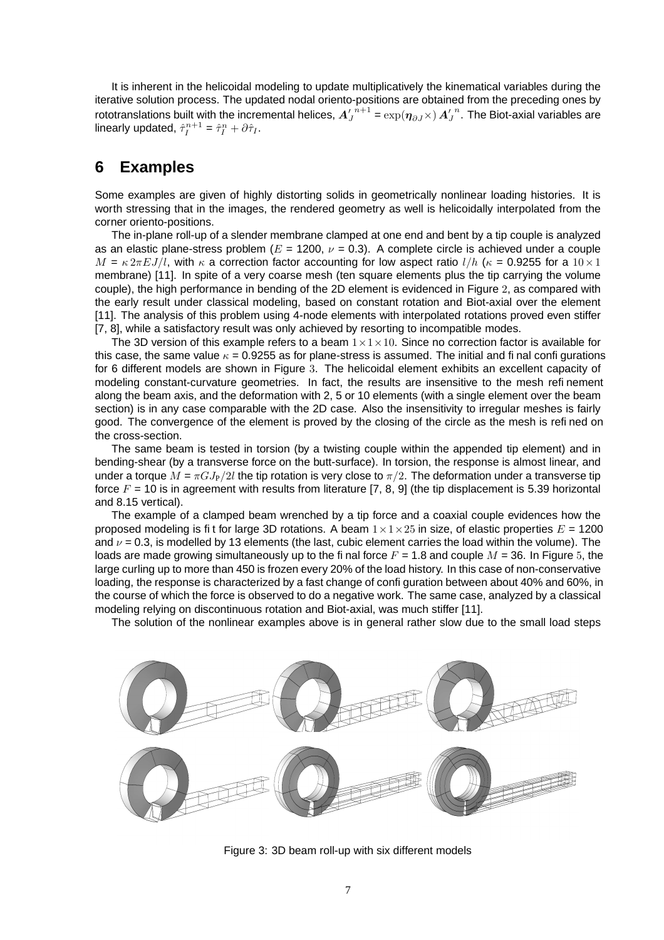It is inherent in the helicoidal modeling to update multiplicatively the kinematical variables during the iterative solution process. The updated nodal oriento-positions are obtained from the preceding ones by rototranslations built with the incremental helices,  $A_J'$  $n+1 = \exp(\boldsymbol{\eta}_{\partial J}\times) \boldsymbol{A}_{J}^{\prime}$  $^n$ . The Biot-axial variables are linearly updated,  $\hat{\tau}_I^{n+1} = \hat{\tau}_I^n + \partial \hat{\tau}_I$ .

### **6 Examples**

Some examples are given of highly distorting solids in geometrically nonlinear loading histories. It is worth stressing that in the images, the rendered geometry as well is helicoidally interpolated from the corner oriento-positions.

The in-plane roll-up of a slender membrane clamped at one end and bent by a tip couple is analyzed as an elastic plane-stress problem ( $E = 1200$ ,  $\nu = 0.3$ ). A complete circle is achieved under a couple  $M = \kappa 2\pi E J/l$ , with  $\kappa$  a correction factor accounting for low aspect ratio  $l/h$  ( $\kappa = 0.9255$  for a  $10 \times 1$ ) membrane) [11]. In spite of a very coarse mesh (ten square elements plus the tip carrying the volume couple), the high performance in bending of the 2D element is evidenced in Figure 2, as compared with the early result under classical modeling, based on constant rotation and Biot-axial over the element [11]. The analysis of this problem using 4-node elements with interpolated rotations proved even stiffer [7, 8], while a satisfactory result was only achieved by resorting to incompatible modes.

The 3D version of this example refers to a beam  $1 \times 1 \times 10$ . Since no correction factor is available for this case, the same value  $\kappa = 0.9255$  as for plane-stress is assumed. The initial and final configurations for 6 different models are shown in Figure 3. The helicoidal element exhibits an excellent capacity of modeling constant-curvature geometries. In fact, the results are insensitive to the mesh refinement along the beam axis, and the deformation with 2, 5 or 10 elements (with a single element over the beam section) is in any case comparable with the 2D case. Also the insensitivity to irregular meshes is fairly good. The convergence of the element is proved by the closing of the circle as the mesh is refined on the cross-section.

The same beam is tested in torsion (by a twisting couple within the appended tip element) and in bending-shear (by a transverse force on the butt-surface). In torsion, the response is almost linear, and under a torque  $M = \pi G J_P/2l$  the tip rotation is very close to  $\pi/2$ . The deformation under a transverse tip force  $F = 10$  is in agreement with results from literature [7, 8, 9] (the tip displacement is 5.39 horizontal and 8.15 vertical).

The example of a clamped beam wrenched by a tip force and a coaxial couple evidences how the proposed modeling is fit for large 3D rotations. A beam  $1 \times 1 \times 25$  in size, of elastic properties  $E = 1200$ and  $\nu$  = 0.3, is modelled by 13 elements (the last, cubic element carries the load within the volume). The loads are made growing simultaneously up to the final force  $F = 1.8$  and couple  $M = 36$ . In Figure 5, the large curling up to more than 450 is frozen every 20% of the load history. In this case of non-conservative loading, the response is characterized by a fast change of configuration between about 40% and 60%, in the course of which the force is observed to do a negative work. The same case, analyzed by a classical modeling relying on discontinuous rotation and Biot-axial, was much stiffer [11].

The solution of the nonlinear examples above is in general rather slow due to the small load steps



Figure 3: 3D beam roll-up with six different models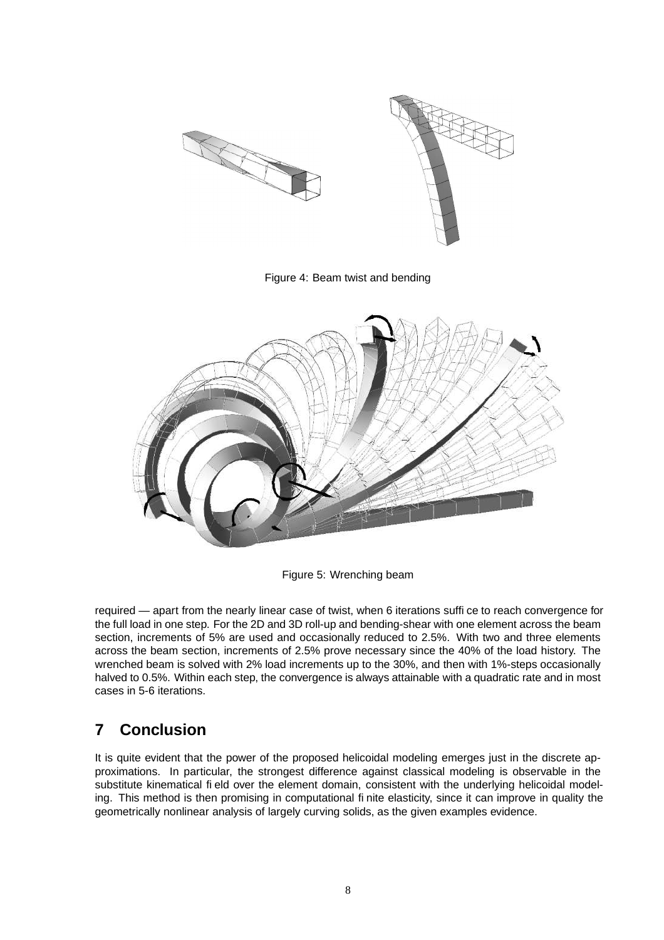

Figure 5: Wrenching beam

required — apart from the nearly linear case of twist, when 6 iterations suffice to reach convergence for the full load in one step. For the 2D and 3D roll-up and bending-shear with one element across the beam section, increments of 5% are used and occasionally reduced to 2.5%. With two and three elements across the beam section, increments of 2.5% prove necessary since the 40% of the load history. The wrenched beam is solved with 2% load increments up to the 30%, and then with 1%-steps occasionally halved to 0.5%. Within each step, the convergence is always attainable with a quadratic rate and in most cases in 5-6 iterations.

## **7 Conclusion**

It is quite evident that the power of the proposed helicoidal modeling emerges just in the discrete approximations. In particular, the strongest difference against classical modeling is observable in the substitute kinematical field over the element domain, consistent with the underlying helicoidal modeling. This method is then promising in computational finite elasticity, since it can improve in quality the geometrically nonlinear analysis of largely curving solids, as the given examples evidence.